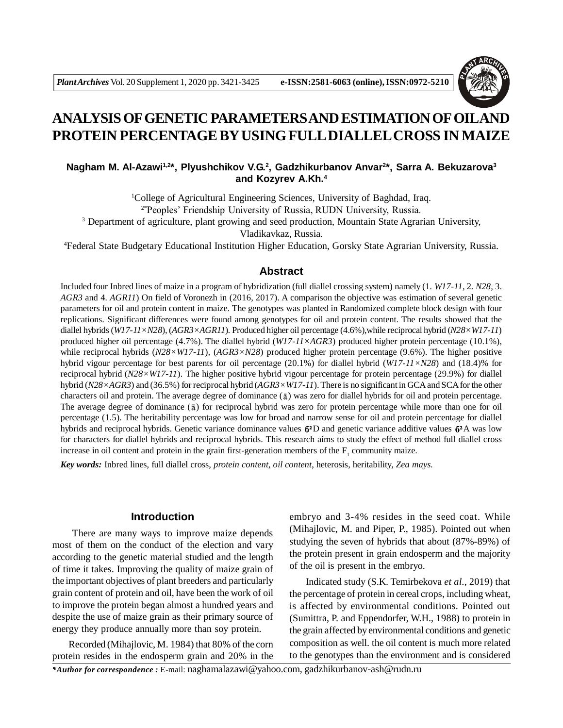

# **ANALYSIS OF GENETIC PARAMETERS AND ESTIMATION OF OILAND PROTEIN PERCENTAGE BY USING FULL DIALLEL CROSS IN MAIZE**

# **Nagham M. Al-Azawi1,2 \*, Plyushchikov V.G. 2 , Gadzhikurbanov Anvar<sup>2</sup> \*, Sarra A. Bekuzarova<sup>3</sup> and Kozyrev A.Kh.<sup>4</sup>**

<sup>1</sup>College of Agricultural Engineering Sciences, University of Baghdad, Iraq*.* 2\*Peoples' Friendship University of Russia, RUDN University, Russia.

<sup>3</sup> Department of agriculture, plant growing and seed production, Mountain State Agrarian University,

Vladikavkaz, Russia.

<sup>4</sup>Federal State Budgetary Educational Institution Higher Education, Gorsky State Agrarian University, Russia.

## **Abstract**

Included four Inbred lines of maize in a program of hybridization (full diallel crossing system) namely (1*. W17-11,* 2*. N28,* 3. *AGR3* and 4*. AGR11*) On field of Voronezh in (2016, 2017). A comparison the objective was estimation of several genetic parameters for oil and protein content in maize. The genotypes was planted in Randomized complete block design with four replications. Significant differences were found among genotypes for oil and protein content. The results showed that the diallel hybrids (*W17-11×N28*)*,* (*AGR3×AGR11*)*.* Produced higher oil percentage (4.6%),while reciprocal hybrid (*N28×W17-11*) produced higher oil percentage (4.7%). The diallel hybrid (*W17-11×AGR3*) produced higher protein percentage (10.1%), while reciprocal hybrids (*N28×W17-11*)*,* (*AGR3×N28*) produced higher protein percentage (9.6%). The higher positive hybrid vigour percentage for best parents for oil percentage (20.1%) for diallel hybrid (*W17-11×N28*) and (18.4)% for reciprocal hybrid (*N28×W17-11*). The higher positive hybrid vigour percentage for protein percentage (29.9%) for diallel hybrid (*N28×AGR3*) and (36.5%) for reciprocal hybrid (*AGR3×W17-11*). There is no significant in GCA and SCA for the other characters oil and protein. The average degree of dominance  $(\bar{a})$  was zero for diallel hybrids for oil and protein percentage. The average degree of dominance  $(\bar{a})$  for reciprocal hybrid was zero for protein percentage while more than one for oil percentage (1.5). The heritability percentage was low for broad and narrow sense for oil and protein percentage for diallel hybrids and reciprocal hybrids. Genetic variance dominance values  $6<sup>2</sup>D$  and genetic variance additive values  $6<sup>2</sup>A$  was low for characters for diallel hybrids and reciprocal hybrids. This research aims to study the effect of method full diallel cross increase in oil content and protein in the grain first-generation members of the  $F_1$  community maize.

*Key words:* Inbred lines, full diallel cross, *protein content*, *oil content*, heterosis, heritability*, Zea mays.*

# **Introduction**

 There are many ways to improve maize depends most of them on the conduct of the election and vary according to the genetic material studied and the length of time it takes. Improving the quality of maize grain of the important objectives of plant breeders and particularly grain content of protein and oil, have been the work of oil to improve the protein began almost a hundred years and despite the use of maize grain as their primary source of energy they produce annually more than soy protein.

Recorded (Mihajlovic, M. 1984) that 80% of the corn protein resides in the endosperm grain and 20% in the

embryo and 3-4% resides in the seed coat. While (Mihajlovic, M. and Piper, P., 1985). Pointed out when studying the seven of hybrids that about (87%-89%) of the protein present in grain endosperm and the majority of the oil is present in the embryo.

Indicated study (S.K. Temirbekova *et al.*, 2019) that the percentage of protein in cereal crops, including wheat, is affected by environmental conditions. Pointed out (Sumittra, P. and Eppendorfer, W.H., 1988) to protein in the grain affected by environmental conditions and genetic composition as well. the oil content is much more related to the genotypes than the environment and is considered

*\*Author for correspondence :* E-mail: naghamalazawi@yahoo.com, gadzhikurbanov-ash@rudn.ru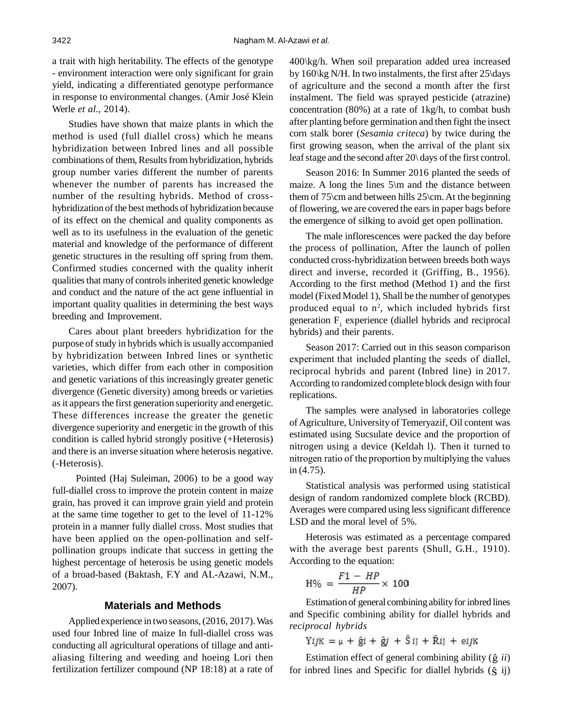a trait with high heritability. The effects of the genotype - environment interaction were only significant for grain yield, indicating a differentiated genotype performance in response to environmental changes. (Amir José Klein Werle *et al.*, 2014).

Studies have shown that maize plants in which the method is used (full diallel cross) which he means hybridization between Inbred lines and all possible combinations of them, Results from hybridization, hybrids group number varies different the number of parents whenever the number of parents has increased the number of the resulting hybrids. Method of crosshybridization of the best methods of hybridization because of its effect on the chemical and quality components as well as to its usefulness in the evaluation of the genetic material and knowledge of the performance of different genetic structures in the resulting off spring from them. Confirmed studies concerned with the quality inherit qualities that many of controls inherited genetic knowledge and conduct and the nature of the act gene influential in important quality qualities in determining the best ways breeding and Improvement.

Cares about plant breeders hybridization for the purpose of study in hybrids which is usually accompanied by hybridization between Inbred lines or synthetic varieties, which differ from each other in composition and genetic variations of this increasingly greater genetic divergence (Genetic diversity) among breeds or varieties as it appears the first generation superiority and energetic. These differences increase the greater the genetic divergence superiority and energetic in the growth of this condition is called hybrid strongly positive (+Heterosis) and there is an inverse situation where heterosis negative. (-Heterosis).

 Pointed (Haj Suleiman, 2006) to be a good way full-diallel cross to improve the protein content in maize grain, has proved it can improve grain yield and protein at the same time together to get to the level of 11-12% protein in a manner fully diallel cross. Most studies that have been applied on the open-pollination and selfpollination groups indicate that success in getting the highest percentage of heterosis be using genetic models of a broad-based (Baktash, F.Y and AL-Azawi, N.M., 2007).

## **Materials and Methods**

Applied experience in two seasons, (2016, 2017). Was used four Inbred line of maize In full-diallel cross was conducting all agricultural operations of tillage and antialiasing filtering and weeding and hoeing Lori then fertilization fertilizer compound (NP 18:18) at a rate of 400\kg/h. When soil preparation added urea increased by 160\kg N/H. In two instalments, the first after 25\days of agriculture and the second a month after the first instalment*.* The field was sprayed pesticide (atrazine) concentration (80%) at a rate of 1kg/h, to combat bush after planting before germination and then fight the insect corn stalk borer (*Sesamia criteca*) by twice during the first growing season, when the arrival of the plant six leaf stage and the second after 20\ days of the first control.

Season 2016: In Summer 2016 planted the seeds of maize. A long the lines 5\m and the distance between them of 75\cm and between hills 25\cm. At the beginning of flowering, we are covered the ears in paper bags before the emergence of silking to avoid get open pollination.

The male inflorescences were packed the day before the process of pollination, After the launch of pollen conducted cross-hybridization between breeds both ways direct and inverse, recorded it (Griffing, B., 1956). According to the first method (Method 1) and the first model (Fixed Model 1), Shall be the number of genotypes produced equal to  $n^2$ , which included hybrids first generation  $F_1$  experience (diallel hybrids and reciprocal hybrids) and their parents.

Season 2017: Carried out in this season comparison experiment that included planting the seeds of diallel, reciprocal hybrids and parent (Inbred line) in 2017. According to randomized complete block design with four replications.

The samples were analysed in laboratories college of Agriculture, University of Temeryazif, Oil content was estimated using Sucsulate device and the proportion of nitrogen using a device (Keldah l). Then it turned to nitrogen ratio of the proportion by multiplying the values in (4.75).

Statistical analysis was performed using statistical design of random randomized complete block (RCBD). Averages were compared using less significant difference LSD and the moral level of 5%.

Heterosis was estimated as a percentage compared with the average best parents (Shull, G.H., 1910). According to the equation:

$$
H\% = \frac{F1 - HP}{HP} \times 100
$$

Estimation of general combining ability for inbred lines and Specific combining ability for diallel hybrids and *reciprocal hybrids*

 $YijK = \mu + \hat{g}i + \hat{g}j + \hat{S}ij + \hat{R}ij + \text{e}ijk$ 

Estimation effect of general combining ability  $(\hat{g}$  *ii*) for inbred lines and Specific for diallel hybrids  $(\hat{S}$  ij)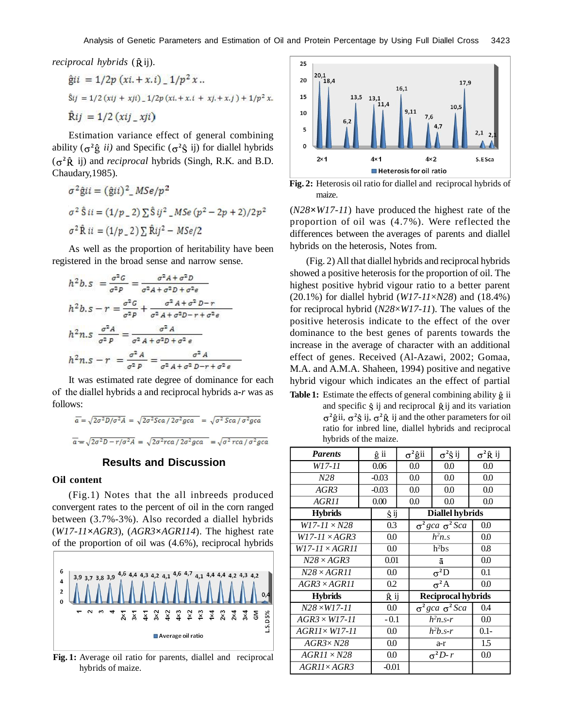*reciprocal hybrids* ( $\hat{R}$ *ij*).

$$
\hat{g}ii = 1/2p (xi + x.i) - 1/p2 x ...
$$
  
\n
$$
\hat{s}ij = 1/2 (xi + xji) - 1/2p (xi + x.i + xj + x.j) + 1/p2 x.
$$
  
\n
$$
\hat{R}ij = 1/2 (xij_xj)
$$

Estimation variance effect of general combining ability  $(\sigma^2 \hat{g} \text{ ii})$  and Specific  $(\sigma^2 \hat{S} \text{ ij})$  for diallel hybrids  $(\sigma^2 \hat{R}$  ij) and *reciprocal* hybrids (Singh, R.K. and B.D. Chaudary,1985).

$$
\sigma^{2} \hat{g} i i = (\hat{g} i i)^{2} \_M Se/p^{2}
$$
  
\n
$$
\sigma^{2} \hat{S} i i = (1/p \_2) \sum \hat{S} i j^{2} \_M Se(p^{2} - 2p + 2)/2p^{2}
$$
  
\n
$$
\sigma^{2} \hat{R} i i = (1/p \_2) \sum \hat{R} i j^{2} - MSe/2
$$

As well as the proportion of heritability have been registered in the broad sense and narrow sense.

$$
h^{2}b. s = \frac{\sigma^{2}G}{\sigma^{2}P} = \frac{\sigma^{2}A + \sigma^{2}D}{\sigma^{2}A + \sigma^{2}D + \sigma^{2}e}
$$
  
\n
$$
h^{2}b. s - r = \frac{\sigma^{2}G}{\sigma^{2}P} + \frac{\sigma^{2}A + \sigma^{2}D - r}{\sigma^{2}A + \sigma^{2}D - r + \sigma^{2}e}
$$
  
\n
$$
h^{2}n. s \frac{\sigma^{2}A}{\sigma^{2}P} = \frac{\sigma^{2}A}{\sigma^{2}A + \sigma^{2}D + \sigma^{2}e}
$$
  
\n
$$
h^{2}n. s - r = \frac{\sigma^{2}A}{\sigma^{2}P} = \frac{\sigma^{2}A}{\sigma^{2}A + \sigma^{2}D - r + \sigma^{2}e}
$$

It was estimated rate degree of dominance for each of the diallel hybrids a and reciprocal hybrids a**-***r* was as follows:

$$
\overline{a} = \sqrt{2\sigma^2 D/\sigma^2 A} = \sqrt{2\sigma^2 Sca / 2\sigma^2 gca} = \sqrt{\sigma^2 Sca / \sigma^2 gca}
$$

$$
\overline{a} = \sqrt{2\sigma^2 D - r/\sigma^2 A} = \sqrt{2\sigma^2 rca / 2\sigma^2 gca} = \sqrt{\sigma^2 rca / \sigma^2 gca}
$$

#### **Results and Discussion**

#### **Oil content**

(Fig.1) Notes that the all inbreeds produced convergent rates to the percent of oil in the corn ranged between (3.7%-3%). Also recorded a diallel hybrids (*W17-11***×***AGR3*), (*AGR3***×***AGR114*). The highest rate of the proportion of oil was (4.6%), reciprocal hybrids



**Fig. 1:** Average oil ratio for parents, diallel and reciprocal hybrids of maize.



**Fig. 2:** Heterosis oil ratio for diallel and reciprocal hybrids of maize.

(*N28***×***W17-11*) have produced the highest rate of the proportion of oil was (4.7%). Were reflected the differences between the averages of parents and diallel hybrids on the heterosis, Notes from.

(Fig. 2) All that diallel hybrids and reciprocal hybrids showed a positive heterosis for the proportion of oil. The highest positive hybrid vigour ratio to a better parent (20.1%) for diallel hybrid (*W17-11*×*N28*) and (18.4%) for reciprocal hybrid (*N28*×*W17-11*). The values of the positive heterosis indicate to the effect of the over dominance to the best genes of parents towards the increase in the average of character with an additional effect of genes. Received (Al-Azawi, 2002; Gomaa, M.A. and A.M.A. Shaheen, 1994) positive and negative hybrid vigour which indicates an the effect of partial

Table 1: Estimate the effects of general combining ability  $\hat{g}$  ii and specific  $\hat{S}$  ij and reciprocal  $\hat{R}$  ij and its variation <sup>2</sup> $\hat{g}$ ii,  $\sigma^2 \hat{g}$  ij,  $\sigma^2 \hat{R}$  ij and the other parameters for oil ratio for inbred line, diallel hybrids and reciprocal hybrids of the maize.

| <b>Parents</b>        |         | ĝ ii    |     | $\sigma^2$ ĝii              | $\sigma^2\hat{S}$ ij | $\sigma^2 \hat{R}$ ij |  |
|-----------------------|---------|---------|-----|-----------------------------|----------------------|-----------------------|--|
| W17-11                |         | 0.06    |     | 0.0                         | 0.0                  | 0.0                   |  |
| N28                   | $-0.03$ |         | 0.0 |                             | 0.0                  | 0.0                   |  |
| AGR3                  |         | $-0.03$ |     | 0.0                         | 0.0                  | 0.0                   |  |
| AGR11                 |         | 0.00    |     | $0.0\,$                     | 0.0                  | 0.0                   |  |
| <b>Hybrids</b>        |         | Ŝij     |     | <b>Diallel hybrids</b>      |                      |                       |  |
| $W17 - 11 \times N28$ |         | 0.3     |     | $\sigma^2 gca \sigma^2 Sca$ |                      | $0.0\,$               |  |
| $W17-11 \times AGR3$  |         | 0.0     |     | $h^2 n$ . S                 |                      | $0.0\,$               |  |
| $W17-11\times AGR11$  |         | 0.0     |     | $h^2$ bs                    |                      | 0.8                   |  |
| $N28 \times AGR3$     |         | 0.01    |     | ā                           |                      | 0.0                   |  |
| $N28\times AGR11$     |         |         | 0.0 |                             | $\sigma^2D$          | 0.1                   |  |
| $AGR3\times AGR11$    |         | 0.2     |     | $\sigma^2 A$                |                      | 0.0                   |  |
| <b>Hybrids</b>        |         | Ŕ ij    |     | <b>Reciprocal hybrids</b>   |                      |                       |  |
| $N28 \times W17 - 11$ |         | 0.0     |     | $\sigma^2 gca \sigma^2 Sca$ |                      | 0.4                   |  |
| $AGR3 \times W17-11$  |         | $-0.1$  |     | $h^2n$ .s-r                 |                      | 0.0                   |  |
| $AGR11 \times W17-11$ |         | 0.0     |     | $h^2b.s-r$                  |                      | $0.1 -$               |  |
| $AGR3 \times N28$     |         | 0.0     |     | a-r                         |                      | 1.5                   |  |
| $AGR11 \times N28$    |         | 0.0     |     | $\sigma^2D-r$               |                      | 0.0                   |  |
| AGR11×AGR3            |         | $-0.01$ |     |                             |                      |                       |  |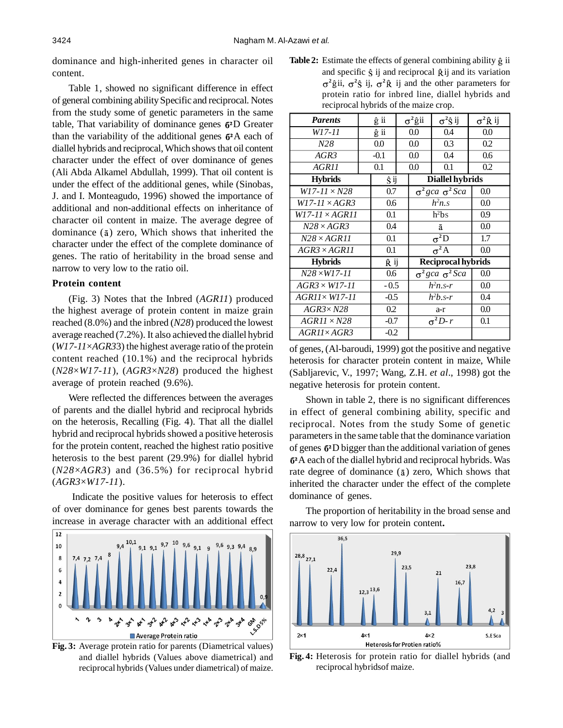dominance and high-inherited genes in character oil content.

Table 1, showed no significant difference in effect of general combining ability Specific and reciprocal. Notes from the study some of genetic parameters in the same table, That variability of dominance genes  $6<sup>2</sup>D$  Greater than the variability of the additional genes  $6^2A$  each of diallel hybrids and reciprocal, Which shows that oil content character under the effect of over dominance of genes (Ali Abda Alkamel Abdullah, 1999). That oil content is under the effect of the additional genes, while (Sinobas, J. and I. Monteagudo, 1996) showed the importance of additional and non-additional effects on inheritance of character oil content in maize. The average degree of dominance  $(a)$  zero, Which shows that inherited the character under the effect of the complete dominance of genes. The ratio of heritability in the broad sense and narrow to very low to the ratio oil.

#### **Protein content**

(Fig. 3) Notes that the Inbred (*AGR11*) produced the highest average of protein content in maize grain reached (8.0%) and the inbred (*N28*) produced the lowest average reached (7.2%). It also achieved the diallel hybrid (*W17-11*×*AGR3*3) the highest average ratio of the protein content reached (10.1%) and the reciprocal hybrids (*N28*×*W17-11*), (*AGR3*×*N28*) produced the highest average of protein reached (9.6%).

Were reflected the differences between the averages of parents and the diallel hybrid and reciprocal hybrids on the heterosis, Recalling (Fig. 4). That all the diallel hybrid and reciprocal hybrids showed a positive heterosis for the protein content, reached the highest ratio positive heterosis to the best parent (29.9%) for diallel hybrid (*N28*×*AGR3*) and (36.5%) for reciprocal hybrid (*AGR3*×*W17-11*).

 Indicate the positive values for heterosis to effect of over dominance for genes best parents towards the increase in average character with an additional effect



**Fig. 3:** Average protein ratio for parents (Diametrical values) and diallel hybrids (Values above diametrical) and reciprocal hybrids (Values under diametrical) of maize.

**Table 2:** Estimate the effects of general combining ability  $\hat{g}$  ii and specific  $\hat{S}$  ij and reciprocal  $\hat{R}$  ij and its variation <sup>2</sup> $\hat{g}$ ii,  $\sigma^2 \hat{g}$  ij,  $\sigma^2 \hat{R}$  ij and the other parameters for protein ratio for inbred line, diallel hybrids and reciprocal hybrids of the maize crop.

| ĝ ii                 |        | $\sigma^2$ ĝii |                                                     | $\sigma^2$ ĝ ij           | $\sigma^2 \hat{R}$ ij                 |  |
|----------------------|--------|----------------|-----------------------------------------------------|---------------------------|---------------------------------------|--|
|                      | ĝ ii   |                |                                                     | 0.4                       | 0.0                                   |  |
| 0.0                  |        | 0.0            |                                                     | 0.3                       | 0.2                                   |  |
|                      | $-0.1$ |                |                                                     | 0.4                       | 0.6                                   |  |
|                      | 0.1    |                |                                                     | 0.1                       | 0.2                                   |  |
|                      | Ŝij    |                |                                                     |                           |                                       |  |
|                      | 0.7    |                | $\sigma^2 gca \sigma^2 Sca$                         |                           | 0.0                                   |  |
|                      |        |                | $h^2 n$ .s                                          |                           | 0.0                                   |  |
|                      | 0.1    |                | $h^2$ bs                                            |                           | 0.9                                   |  |
|                      |        |                | ā                                                   |                           | 0.0                                   |  |
|                      |        |                | $\sigma^2D$                                         |                           | 1.7                                   |  |
| $AGR3 \times AGR11$  |        |                | $\sigma^2 A$                                        |                           | 0.0                                   |  |
| <b>Hybrids</b>       |        | <b>R</b> ij    |                                                     | <b>Reciprocal hybrids</b> |                                       |  |
|                      | 0.6    |                | $\sigma^2 gca \sigma^2 Sca$                         |                           | 0.0                                   |  |
| $AGR3 \times W17-11$ |        | $-0.5$         |                                                     |                           | 0.0                                   |  |
|                      |        |                | $h^2b.s-r$                                          |                           | 0.4                                   |  |
|                      |        |                | a-r                                                 |                           | 0.0                                   |  |
|                      | $-0.7$ |                | $\sigma^2 D - r$                                    |                           | 0.1                                   |  |
|                      |        |                |                                                     |                           |                                       |  |
|                      |        |                | 0.6<br>0.4<br>0.1<br>0.1<br>$-0.5$<br>0.2<br>$-0.2$ | 0.0<br>0.0<br>0.0         | <b>Diallel hybrids</b><br>$h^2n$ .s-r |  |

of genes, (Al-baroudi, 1999) got the positive and negative heterosis for character protein content in maize, While (Sabljarevic, V., 1997; Wang, Z.H. *et al*., 1998) got the negative heterosis for protein content.

Shown in table 2, there is no significant differences in effect of general combining ability, specific and reciprocal. Notes from the study Some of genetic parameters in the same table that the dominance variation of genes  $6<sup>2</sup>D$  bigger than the additional variation of genes A each of the diallel hybrid and reciprocal hybrids. Was rate degree of dominance  $(\bar{a})$  zero, Which shows that inherited the character under the effect of the complete dominance of genes.

The proportion of heritability in the broad sense and narrow to very low for protein content**.**



**Fig. 4:** Heterosis for protein ratio for diallel hybrids (and reciprocal hybridsof maize.